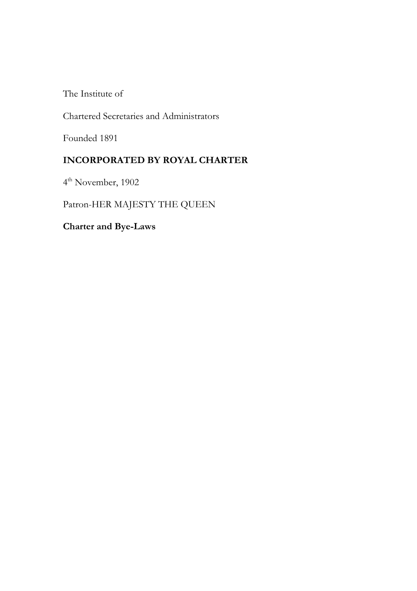The Institute of

Chartered Secretaries and Administrators

Founded 1891

# **INCORPORATED BY ROYAL CHARTER**

4th November, 1902

Patron-HER MAJESTY THE QUEEN

**Charter and Bye-Laws**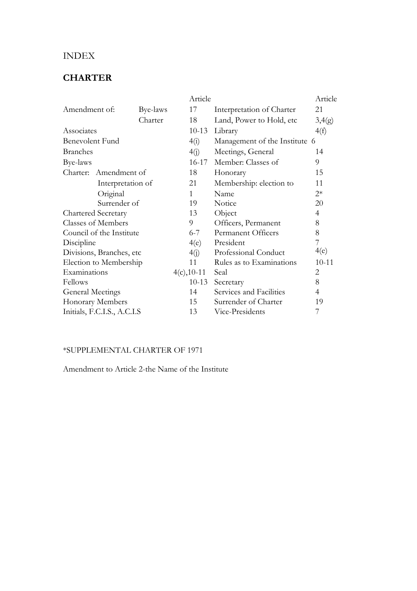# INDEX

# **CHARTER**

|                             |                   | Article       |                               | Article        |
|-----------------------------|-------------------|---------------|-------------------------------|----------------|
| Amendment of:               | Bye-laws          | 17            | Interpretation of Charter     | 21             |
|                             | Charter           | 18            | Land, Power to Hold, etc      | 3,4(g)         |
| Associates                  |                   | $10-13$       | Library                       | 4(f)           |
| Benevolent Fund             |                   | 4(i)          | Management of the Institute 6 |                |
| <b>Branches</b>             |                   | 4(j)          | Meetings, General             | 14             |
| Bye-laws                    |                   | $16 - 17$     | Member: Classes of            | 9              |
| Charter: Amendment of       |                   | 18            | Honorary                      | 15             |
|                             | Interpretation of | 21            | Membership: election to       | 11             |
| Original                    |                   | $\mathbf{1}$  | Name                          | $2*$           |
| Surrender of                |                   | 19            | Notice                        | 20             |
| <b>Chartered Secretary</b>  |                   | 13            | Object                        | $\overline{4}$ |
| <b>Classes of Members</b>   |                   | 9             | Officers, Permanent           | 8              |
| Council of the Institute    |                   | $6 - 7$       | Permanent Officers            | 8              |
| Discipline                  |                   | 4(e)          | President                     | 7              |
| Divisions, Branches, etc.   |                   | 4(j)          | Professional Conduct          | 4(e)           |
| Election to Membership      |                   | 11            | Rules as to Examinations      | $10 - 11$      |
| Examinations                |                   | $4(c), 10-11$ | Seal                          | $\overline{2}$ |
| Fellows                     |                   | $10-13$       | Secretary                     | 8              |
| <b>General Meetings</b>     |                   | 14            | Services and Facilities       | 4              |
| Honorary Members            |                   | 15            | Surrender of Charter          | 19             |
| Initials, F.C.I.S., A.C.I.S |                   | 13            | Vice-Presidents               | 7              |

## \*SUPPLEMENTAL CHARTER OF 1971

Amendment to Article 2-the Name of the Institute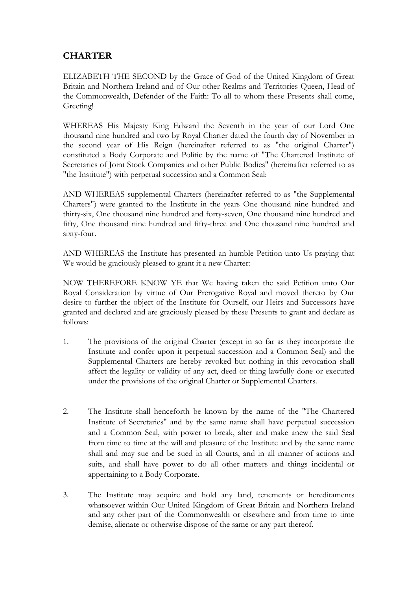# **CHARTER**

ELIZABETH THE SECOND by the Grace of God of the United Kingdom of Great Britain and Northern Ireland and of Our other Realms and Territories Queen, Head of the Commonwealth, Defender of the Faith: To all to whom these Presents shall come, Greeting!

WHEREAS His Majesty King Edward the Seventh in the year of our Lord One thousand nine hundred and two by Royal Charter dated the fourth day of November in the second year of His Reign (hereinafter referred to as "the original Charter") constituted a Body Corporate and Politic by the name of "The Chartered Institute of Secretaries of Joint Stock Companies and other Public Bodies" (hereinafter referred to as "the Institute") with perpetual succession and a Common Seal:

AND WHEREAS supplemental Charters (hereinafter referred to as "the Supplemental Charters") were granted to the Institute in the years One thousand nine hundred and thirty-six, One thousand nine hundred and forty-seven, One thousand nine hundred and fifty, One thousand nine hundred and fifty-three and One thousand nine hundred and sixty-four.

AND WHEREAS the Institute has presented an humble Petition unto Us praying that We would be graciously pleased to grant it a new Charter:

NOW THEREFORE KNOW YE that We having taken the said Petition unto Our Royal Consideration by virtue of Our Prerogative Royal and moved thereto by Our desire to further the object of the Institute for Ourself, our Heirs and Successors have granted and declared and are graciously pleased by these Presents to grant and declare as follows:

- 1. The provisions of the original Charter (except in so far as they incorporate the Institute and confer upon it perpetual succession and a Common Seal) and the Supplemental Charters are hereby revoked but nothing in this revocation shall affect the legality or validity of any act, deed or thing lawfully done or executed under the provisions of the original Charter or Supplemental Charters.
- 2. The Institute shall henceforth be known by the name of the "The Chartered Institute of Secretaries" and by the same name shall have perpetual succession and a Common Seal, with power to break, alter and make anew the said Seal from time to time at the will and pleasure of the Institute and by the same name shall and may sue and be sued in all Courts, and in all manner of actions and suits, and shall have power to do all other matters and things incidental or appertaining to a Body Corporate.
- 3. The Institute may acquire and hold any land, tenements or hereditaments whatsoever within Our United Kingdom of Great Britain and Northern Ireland and any other part of the Commonwealth or elsewhere and from time to time demise, alienate or otherwise dispose of the same or any part thereof.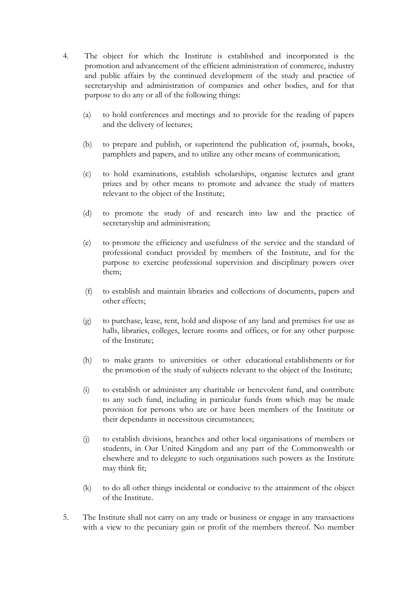- 4. The object for which the Institute is established and incorporated is the promotion and advancement of the efficient administration of commerce, industry and public affairs by the continued development of the study and practice of secretaryship and administration of companies and other bodies, and for that purpose to do any or all of the following things:
	- (a) to hold conferences and meetings and to provide for the reading of papers and the delivery of lectures;
	- (b) to prepare and publish, or superintend the publication of, journals, books, pamphlets and papers, and to utilize any other means of communication;
	- (c) to hold examinations, establish scholarships, organise lectures and grant prizes and by other means to promote and advance the study of matters relevant to the object of the Institute;
	- (d) to promote the study of and research into law and the practice of secretaryship and administration;
	- (e) to promote the efficiency and usefulness of the service and the standard of professional conduct provided by members of the Institute, and for the purpose to exercise professional supervision and disciplinary powers over them;
	- (f) to establish and maintain libraries and collections of documents, papers and other effects;
	- (g) to purchase, lease, rent, hold and dispose of any land and premises for use as halls, libraries, colleges, lecture rooms and offices, or for any other purpose of the Institute;
	- (h) to make grants to universities or other educational establishments or for the promotion of the study of subjects relevant to the object of the Institute;
	- (i) to establish or administer any charitable or benevolent fund, and contribute to any such fund, including in particular funds from which may be made provision for persons who are or have been members of the Institute or their dependants in necessitous circumstances;
	- (j) to establish divisions, branches and other local organisations of members or students, in Our United Kingdom and any part of the Commonwealth or elsewhere and to delegate to such organisations such powers as the Institute may think fit;
	- (k) to do all other things incidental or conducive to the attainment of the object of the Institute.
- 5. The Institute shall not carry on any trade or business or engage in any transactions with a view to the pecuniary gain or profit of the members thereof. No member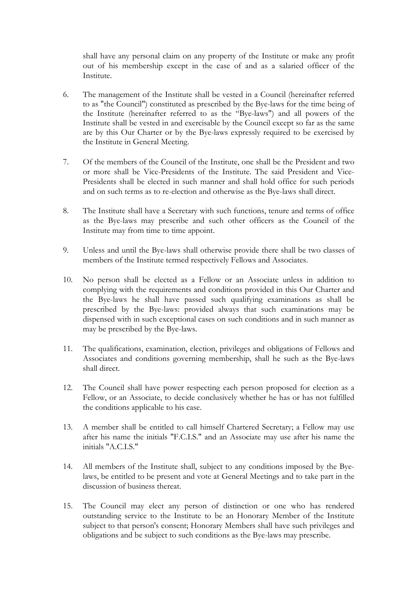shall have any personal claim on any property of the Institute or make any profit out of his membership except in the case of and as a salaried officer of the Institute.

- 6. The management of the Institute shall be vested in a Council (hereinafter referred to as "the Council") constituted as prescribed by the Bye-laws for the time being of the Institute (hereinafter referred to as the "Bye-laws") and all powers of the Institute shall be vested in and exercisable by the Council except so far as the same are by this Our Charter or by the Bye-laws expressly required to be exercised by the Institute in General Meeting.
- 7. Of the members of the Council of the Institute, one shall be the President and two or more shall be Vice-Presidents of the Institute. The said President and Vice-Presidents shall be elected in such manner and shall hold office for such periods and on such terms as to re-election and otherwise as the Bye-laws shall direct.
- 8. The Institute shall have a Secretary with such functions, tenure and terms of office as the Bye-laws may prescribe and such other officers as the Council of the Institute may from time to time appoint.
- 9. Unless and until the Bye-laws shall otherwise provide there shall be two classes of members of the Institute termed respectively Fellows and Associates.
- 10. No person shall be elected as a Fellow or an Associate unless in addition to complying with the requirements and conditions provided in this Our Charter and the Bye-laws he shall have passed such qualifying examinations as shall be prescribed by the Bye-laws: provided always that such examinations may be dispensed with in such exceptional cases on such conditions and in such manner as may be prescribed by the Bye-laws.
- 11. The qualifications, examination, election, privileges and obligations of Fellows and Associates and conditions governing membership, shall he such as the Bye-laws shall direct.
- 12. The Council shall have power respecting each person proposed for election as a Fellow, or an Associate, to decide conclusively whether he has or has not fulfilled the conditions applicable to his case.
- 13. A member shall be entitled to call himself Chartered Secretary; a Fellow may use after his name the initials "F.C.I.S." and an Associate may use after his name the initials "A.C.I.S."
- 14. All members of the Institute shall, subject to any conditions imposed by the Byelaws, be entitled to be present and vote at General Meetings and to take part in the discussion of business thereat.
- 15. The Council may elect any person of distinction or one who has rendered outstanding service to the Institute to be an Honorary Member of the Institute subject to that person's consent; Honorary Members shall have such privileges and obligations and be subject to such conditions as the Bye-laws may prescribe.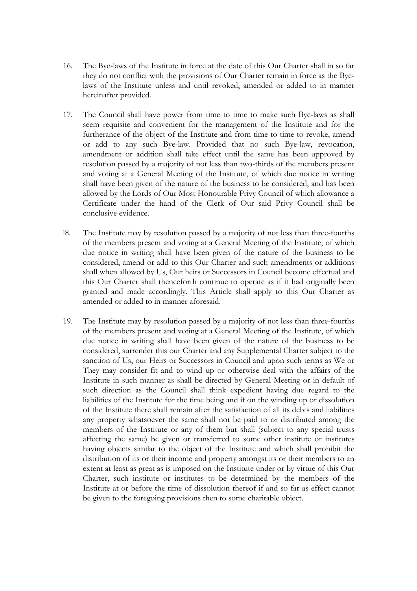- 16. The Bye-laws of the Institute in force at the date of this Our Charter shall in so far they do not conflict with the provisions of Our Charter remain in force as the Byelaws of the Institute unless and until revoked, amended or added to in manner hereinafter provided.
- 17. The Council shall have power from time to time to make such Bye-laws as shall seem requisite and convenient for the management of the Institute and for the furtherance of the object of the Institute and from time to time to revoke, amend or add to any such Bye-law. Provided that no such Bye-law, revocation, amendment or addition shall take effect until the same has been approved by resolution passed by a majority of not less than two-thirds of the members present and voting at a General Meeting of the Institute, of which due notice in writing shall have been given of the nature of the business to be considered, and has been allowed by the Lords of Our Most Honourable Privy Council of which allowance a Certificate under the hand of the Clerk of Our said Privy Council shall be conclusive evidence.
- l8. The Institute may by resolution passed by a majority of not less than three-fourths of the members present and voting at a General Meeting of the Institute, of which due notice in writing shall have been given of the nature of the business to be considered, amend or add to this Our Charter and such amendments or additions shall when allowed by Us, Our heirs or Successors in Council become effectual and this Our Charter shall thenceforth continue to operate as if it had originally been granted and made accordingly. This Article shall apply to this Our Charter as amended or added to in manner aforesaid.
- 19. The Institute may by resolution passed by a majority of not less than three-fourths of the members present and voting at a General Meeting of the Institute, of which due notice in writing shall have been given of the nature of the business to be considered, surrender this our Charter and any Supplemental Charter subject to the sanction of Us, our Heirs or Successors in Council and upon such terms as We or They may consider fit and to wind up or otherwise deal with the affairs of the Institute in such manner as shall be directed by General Meeting or in default of such direction as the Council shall think expedient having due regard to the liabilities of the Institute for the time being and if on the winding up or dissolution of the Institute there shall remain after the satisfaction of all its debts and liabilities any property whatsoever the same shall not be paid to or distributed among the members of the Institute or any of them but shall (subject to any special trusts affecting the same) be given or transferred to some other institute or institutes having objects similar to the object of the Institute and which shall prohibit the distribution of its or their income and property amongst its or their members to an extent at least as great as is imposed on the Institute under or by virtue of this Our Charter, such institute or institutes to be determined by the members of the Institute at or before the time of dissolution thereof if and so far as effect cannot be given to the foregoing provisions then to some charitable object.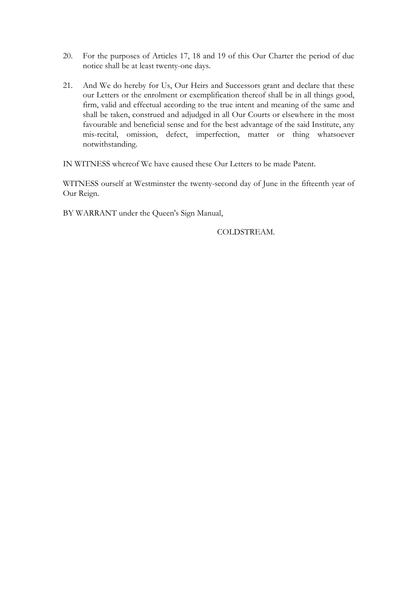- 20. For the purposes of Articles 17, 18 and 19 of this Our Charter the period of due notice shall be at least twenty-one days.
- 21. And We do hereby for Us, Our Heirs and Successors grant and declare that these our Letters or the enrolment or exemplification thereof shall be in all things good, firm, valid and effectual according to the true intent and meaning of the same and shall be taken, construed and adjudged in all Our Courts or elsewhere in the most favourable and beneficial sense and for the best advantage of the said Institute, any mis-recital, omission, defect, imperfection, matter or thing whatsoever notwithstanding.

IN WITNESS whereof We have caused these Our Letters to be made Patent.

WITNESS ourself at Westminster the twenty-second day of June in the fifteenth year of Our Reign.

BY WARRANT under the Queen's Sign Manual,

COLDSTREAM.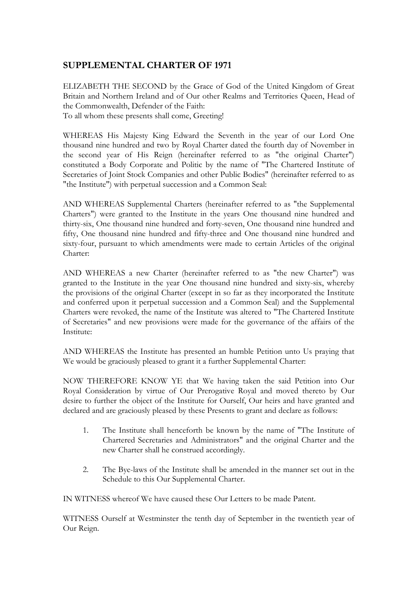## **SUPPLEMENTAL CHARTER OF 1971**

ELIZABETH THE SECOND by the Grace of God of the United Kingdom of Great Britain and Northern Ireland and of Our other Realms and Territories Queen, Head of the Commonwealth, Defender of the Faith: To all whom these presents shall come, Greeting!

WHEREAS His Majesty King Edward the Seventh in the year of our Lord One thousand nine hundred and two by Royal Charter dated the fourth day of November in the second year of His Reign (hereinafter referred to as "the original Charter") constituted a Body Corporate and Politic by the name of "The Chartered Institute of Secretaries of Joint Stock Companies and other Public Bodies" (hereinafter referred to as "the Institute") with perpetual succession and a Common Seal:

AND WHEREAS Supplemental Charters (hereinafter referred to as "the Supplemental Charters") were granted to the Institute in the years One thousand nine hundred and thirty-six, One thousand nine hundred and forty-seven, One thousand nine hundred and fifty, One thousand nine hundred and fifty-three and One thousand nine hundred and sixty-four, pursuant to which amendments were made to certain Articles of the original Charter:

AND WHEREAS a new Charter (hereinafter referred to as "the new Charter") was granted to the Institute in the year One thousand nine hundred and sixty-six, whereby the provisions of the original Charter (except in so far as they incorporated the Institute and conferred upon it perpetual succession and a Common Seal) and the Supplemental Charters were revoked, the name of the Institute was altered to "The Chartered Institute of Secretaries" and new provisions were made for the governance of the affairs of the Institute:

AND WHEREAS the Institute has presented an humble Petition unto Us praying that We would be graciously pleased to grant it a further Supplemental Charter:

NOW THEREFORE KNOW YE that We having taken the said Petition into Our Royal Consideration by virtue of Our Prerogative Royal and moved thereto by Our desire to further the object of the Institute for Ourself, Our heirs and have granted and declared and are graciously pleased by these Presents to grant and declare as follows:

- 1. The Institute shall henceforth be known by the name of "The Institute of Chartered Secretaries and Administrators" and the original Charter and the new Charter shall he construed accordingly.
- 2. The Bye-laws of the Institute shall be amended in the manner set out in the Schedule to this Our Supplemental Charter.

IN WITNESS whereof We have caused these Our Letters to be made Patent.

WITNESS Ourself at Westminster the tenth day of September in the twentieth year of Our Reign.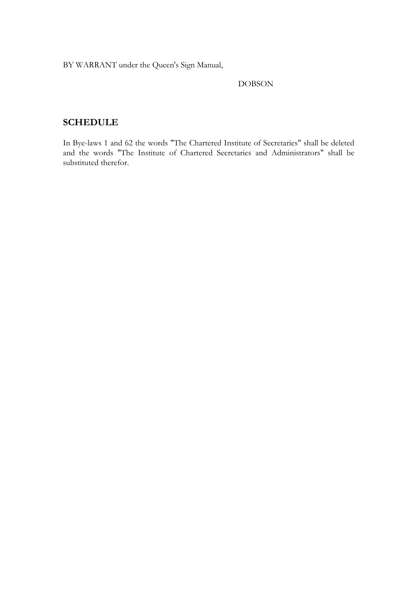BY WARRANT under the Queen's Sign Manual,

#### DOBSON

## **SCHEDULE**

In Bye-laws 1 and 62 the words "The Chartered Institute of Secretaries" shall be deleted and the words "The Institute of Chartered Secretaries and Administrators" shall be substituted therefor.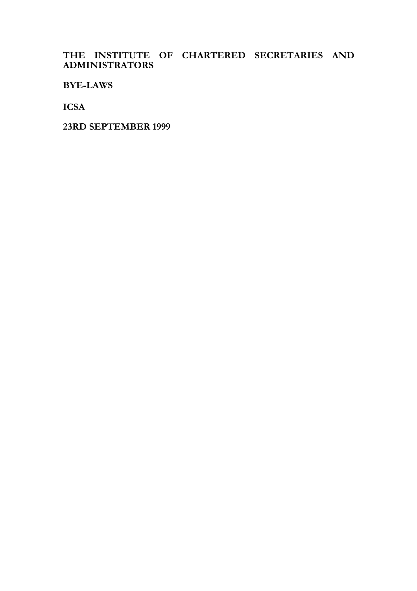## **THE INSTITUTE OF CHARTERED SECRETARIES AND ADMINISTRATORS**

**BYE-LAWS** 

**ICSA** 

**23RD SEPTEMBER 1999**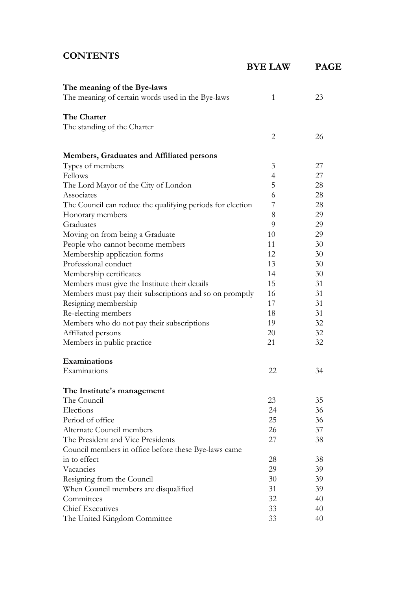# **CONTENTS**

|                                                            | <b>BYE LAW</b> | <b>PAGE</b> |
|------------------------------------------------------------|----------------|-------------|
| The meaning of the Bye-laws                                |                |             |
| The meaning of certain words used in the Bye-laws          | 1              | 23          |
| The Charter                                                |                |             |
| The standing of the Charter                                |                |             |
|                                                            | $\overline{2}$ | 26          |
| <b>Members, Graduates and Affiliated persons</b>           |                |             |
| Types of members                                           | 3              | 27          |
| Fellows                                                    | $\overline{4}$ | 27          |
| The Lord Mayor of the City of London                       | 5              | 28          |
| Associates                                                 | 6              | 28          |
| The Council can reduce the qualifying periods for election | 7              | 28          |
| Honorary members                                           | 8              | 29          |
| Graduates                                                  | 9              | 29          |
| Moving on from being a Graduate                            | 10             | 29          |
| People who cannot become members                           | 11             | 30          |
| Membership application forms                               | 12             | 30          |
| Professional conduct                                       | 13             | 30          |
| Membership certificates                                    | 14             | 30          |
| Members must give the Institute their details              | 15             | 31          |
| Members must pay their subscriptions and so on promptly    | 16             | 31          |
| Resigning membership                                       | 17             | 31          |
| Re-electing members                                        | 18             | 31          |
| Members who do not pay their subscriptions                 | 19             | 32          |
| Affiliated persons                                         | 20             | 32          |
| Members in public practice                                 | 21             | 32          |
| Examinations                                               |                |             |
| Examinations                                               | 22             | 34          |
| The Institute's management                                 |                |             |
| The Council                                                | 23             | 35          |
| Elections                                                  | 24             | 36          |
| Period of office                                           | 25             | 36          |
| Alternate Council members                                  | 26             | 37          |
| The President and Vice Presidents                          | 27             | 38          |
| Council members in office before these Bye-laws came       |                |             |
| in to effect                                               | 28             | 38          |
| Vacancies                                                  | 29             | 39          |
| Resigning from the Council                                 | 30             | 39          |
| When Council members are disqualified                      | 31             | 39          |
| Committees                                                 | 32             | 40          |
| <b>Chief Executives</b>                                    | 33             | 40          |
| The United Kingdom Committee                               | 33             | 40          |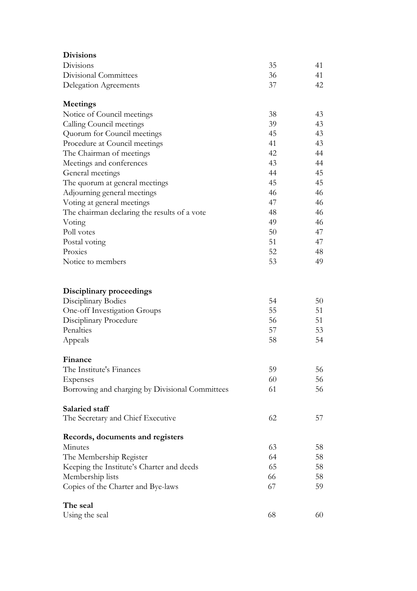| <b>Divisions</b>                                |    |    |
|-------------------------------------------------|----|----|
| Divisions                                       | 35 | 41 |
| Divisional Committees                           | 36 | 41 |
| <b>Delegation Agreements</b>                    | 37 | 42 |
| <b>Meetings</b>                                 |    |    |
| Notice of Council meetings                      | 38 | 43 |
| Calling Council meetings                        | 39 | 43 |
| Quorum for Council meetings                     | 45 | 43 |
| Procedure at Council meetings                   | 41 | 43 |
| The Chairman of meetings                        | 42 | 44 |
| Meetings and conferences                        | 43 | 44 |
| General meetings                                | 44 | 45 |
| The quorum at general meetings                  | 45 | 45 |
| Adjourning general meetings                     | 46 | 46 |
| Voting at general meetings                      | 47 | 46 |
| The chairman declaring the results of a vote    | 48 | 46 |
| Voting                                          | 49 | 46 |
| Poll votes                                      | 50 | 47 |
| Postal voting                                   | 51 | 47 |
| Proxies                                         | 52 | 48 |
| Notice to members                               | 53 | 49 |
| Disciplinary proceedings                        |    |    |
| Disciplinary Bodies                             | 54 | 50 |
| One-off Investigation Groups                    | 55 | 51 |
| Disciplinary Procedure                          | 56 | 51 |
| Penalties                                       | 57 | 53 |
| Appeals                                         | 58 | 54 |
| Finance                                         |    |    |
| The Institute's Finances                        | 59 | 56 |
| Expenses                                        | 60 | 56 |
| Borrowing and charging by Divisional Committees | 61 | 56 |
| Salaried staff                                  |    |    |
| The Secretary and Chief Executive               | 62 | 57 |
| Records, documents and registers                |    |    |
| Minutes                                         | 63 | 58 |
| The Membership Register                         | 64 | 58 |
| Keeping the Institute's Charter and deeds       | 65 | 58 |
| Membership lists                                | 66 | 58 |
| Copies of the Charter and Bye-laws              | 67 | 59 |
| The seal                                        |    |    |
| Using the seal                                  | 68 | 60 |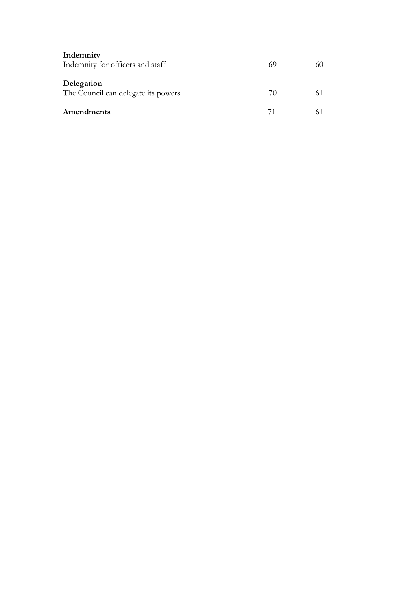| Indemnity<br>Indemnity for officers and staff     | 69          | 60 |
|---------------------------------------------------|-------------|----|
| Delegation<br>The Council can delegate its powers | $\gamma$ () | 61 |
| Amendments                                        | 71          |    |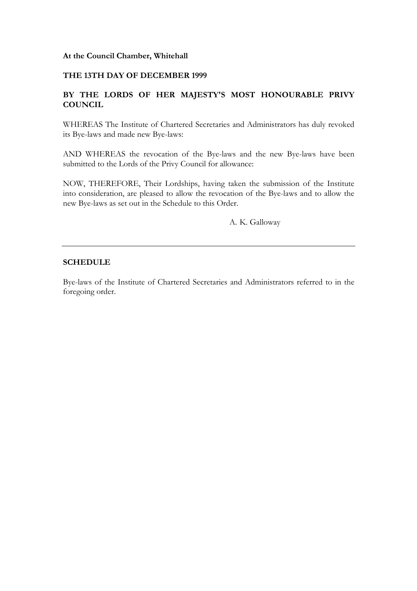#### **At the Council Chamber, Whitehall**

#### **THE 13TH DAY OF DECEMBER 1999**

#### **BY THE LORDS OF HER MAJESTY'S MOST HONOURABLE PRIVY COUNCIL**

WHEREAS The Institute of Chartered Secretaries and Administrators has duly revoked its Bye-laws and made new Bye-laws:

AND WHEREAS the revocation of the Bye-laws and the new Bye-laws have been submitted to the Lords of the Privy Council for allowance:

NOW, THEREFORE, Their Lordships, having taken the submission of the Institute into consideration, are pleased to allow the revocation of the Bye-laws and to allow the new Bye-laws as set out in the Schedule to this Order.

A. K. Galloway

#### **SCHEDULE**

Bye-laws of the Institute of Chartered Secretaries and Administrators referred to in the foregoing order.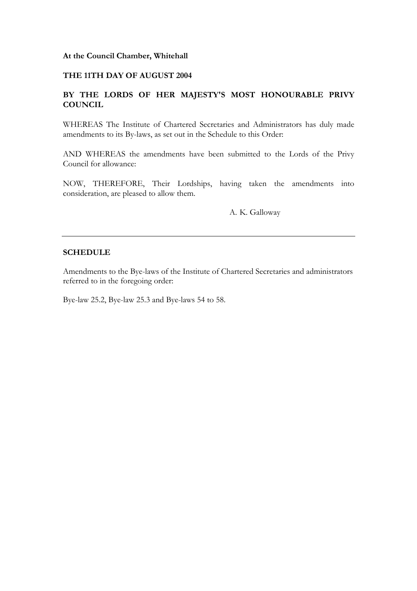#### **At the Council Chamber, Whitehall**

#### **THE 11TH DAY OF AUGUST 2004**

#### **BY THE LORDS OF HER MAJESTY'S MOST HONOURABLE PRIVY COUNCIL**

WHEREAS The Institute of Chartered Secretaries and Administrators has duly made amendments to its By-laws, as set out in the Schedule to this Order:

AND WHEREAS the amendments have been submitted to the Lords of the Privy Council for allowance:

NOW, THEREFORE, Their Lordships, having taken the amendments into consideration, are pleased to allow them.

A. K. Galloway

#### **SCHEDULE**

Amendments to the Bye-laws of the Institute of Chartered Secretaries and administrators referred to in the foregoing order:

Bye-law 25.2, Bye-law 25.3 and Bye-laws 54 to 58.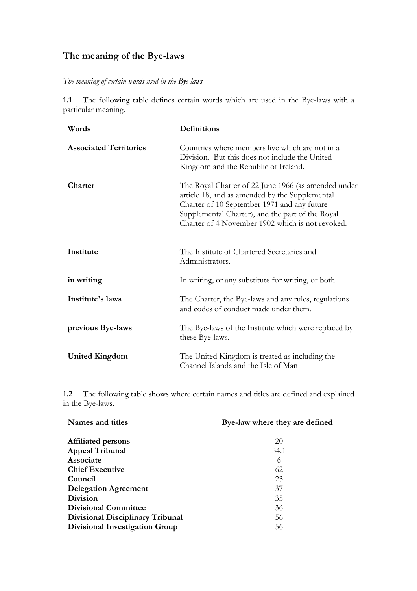# **The meaning of the Bye-laws**

### *The meaning of certain words used in the Bye-laws*

**1.1** The following table defines certain words which are used in the Bye-laws with a particular meaning.

| Words                         | <b>Definitions</b>                                                                                                                                                                                                                                           |
|-------------------------------|--------------------------------------------------------------------------------------------------------------------------------------------------------------------------------------------------------------------------------------------------------------|
| <b>Associated Territories</b> | Countries where members live which are not in a<br>Division. But this does not include the United<br>Kingdom and the Republic of Ireland.                                                                                                                    |
| Charter                       | The Royal Charter of 22 June 1966 (as amended under<br>article 18, and as amended by the Supplemental<br>Charter of 10 September 1971 and any future<br>Supplemental Charter), and the part of the Royal<br>Charter of 4 November 1902 which is not revoked. |
| Institute                     | The Institute of Chartered Secretaries and<br>Administrators.                                                                                                                                                                                                |
| in writing                    | In writing, or any substitute for writing, or both.                                                                                                                                                                                                          |
| Institute's laws              | The Charter, the Bye-laws and any rules, regulations<br>and codes of conduct made under them.                                                                                                                                                                |
| previous Bye-laws             | The Bye-laws of the Institute which were replaced by<br>these Bye-laws.                                                                                                                                                                                      |
| <b>United Kingdom</b>         | The United Kingdom is treated as including the<br>Channel Islands and the Isle of Man                                                                                                                                                                        |

**1.2** The following table shows where certain names and titles are defined and explained in the Bye-laws.

| Names and titles                      | Bye-law where they are defined |
|---------------------------------------|--------------------------------|
| <b>Affiliated persons</b>             | 20                             |
| <b>Appeal Tribunal</b>                | 54.1                           |
| Associate                             | 6                              |
| <b>Chief Executive</b>                | 62                             |
| Council                               | 23                             |
| <b>Delegation Agreement</b>           | 37                             |
| <b>Division</b>                       | 35                             |
| <b>Divisional Committee</b>           | 36                             |
| Divisional Disciplinary Tribunal      | 56                             |
| <b>Divisional Investigation Group</b> | 56                             |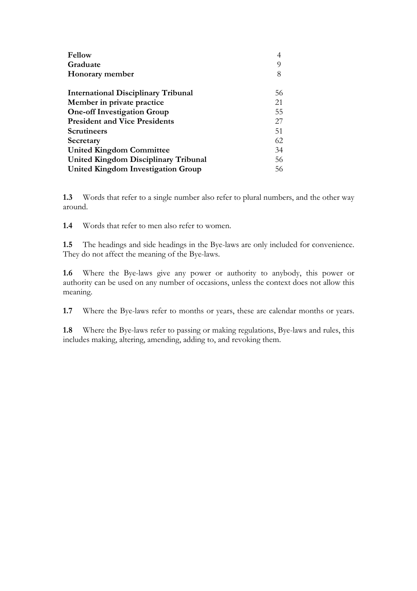| <b>Fellow</b>                              |     |
|--------------------------------------------|-----|
| Graduate                                   | Q   |
| Honorary member                            | 8   |
| <b>International Disciplinary Tribunal</b> | 56  |
| Member in private practice                 | 21  |
| <b>One-off Investigation Group</b>         | 55  |
| <b>President and Vice Presidents</b>       | 27  |
| <b>Scrutineers</b>                         | 51  |
| Secretary                                  | 62  |
| <b>United Kingdom Committee</b>            | 34  |
| United Kingdom Disciplinary Tribunal       | 56  |
| <b>United Kingdom Investigation Group</b>  | 56. |

**1.3** Words that refer to a single number also refer to plural numbers, and the other way around.

**1.4** Words that refer to men also refer to women.

**1.5** The headings and side headings in the Bye-laws are only included for convenience. They do not affect the meaning of the Bye-laws.

**1.6** Where the Bye-laws give any power or authority to anybody, this power or authority can be used on any number of occasions, unless the context does not allow this meaning.

**1.7** Where the Bye-laws refer to months or years, these are calendar months or years.

**1.8** Where the Bye-laws refer to passing or making regulations, Bye-laws and rules, this includes making, altering, amending, adding to, and revoking them.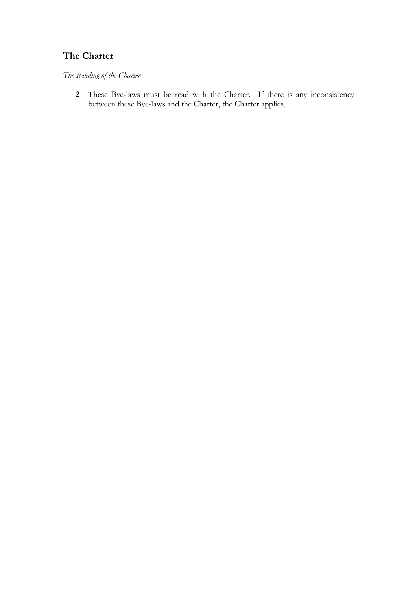# **The Charter**

*The standing of the Charter* 

**2** These Bye-laws must be read with the Charter. If there is any inconsistency between these Bye-laws and the Charter, the Charter applies.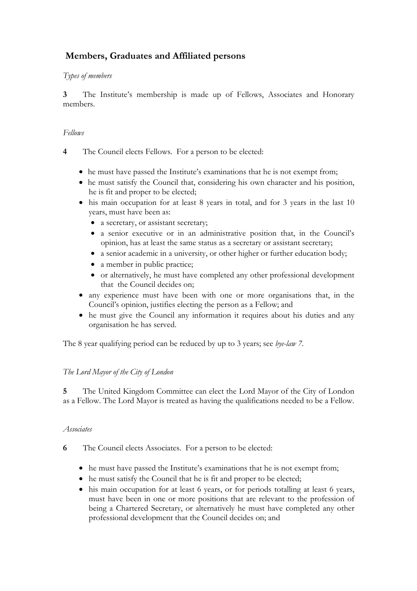# **Members, Graduates and Affiliated persons**

### *Types of members*

**3** The Institute's membership is made up of Fellows, Associates and Honorary members.

### *Fellows*

- **4** The Council elects Fellows. For a person to be elected:
	- he must have passed the Institute's examinations that he is not exempt from;
	- he must satisfy the Council that, considering his own character and his position, he is fit and proper to be elected;
	- his main occupation for at least 8 years in total, and for 3 years in the last 10 years, must have been as:
		- a secretary, or assistant secretary;
		- a senior executive or in an administrative position that, in the Council's opinion, has at least the same status as a secretary or assistant secretary;
		- a senior academic in a university, or other higher or further education body;
		- a member in public practice;
		- or alternatively, he must have completed any other professional development that the Council decides on;
	- any experience must have been with one or more organisations that, in the Council's opinion, justifies electing the person as a Fellow; and
	- he must give the Council any information it requires about his duties and any organisation he has served.

The 8 year qualifying period can be reduced by up to 3 years; see *bye-law 7*.

## *The Lord Mayor of the City of London*

**5** The United Kingdom Committee can elect the Lord Mayor of the City of London as a Fellow. The Lord Mayor is treated as having the qualifications needed to be a Fellow.

### *Associates*

- **6** The Council elects Associates. For a person to be elected:
	- he must have passed the Institute's examinations that he is not exempt from;
	- he must satisfy the Council that he is fit and proper to be elected;
	- his main occupation for at least 6 years, or for periods totalling at least 6 years, must have been in one or more positions that are relevant to the profession of being a Chartered Secretary, or alternatively he must have completed any other professional development that the Council decides on; and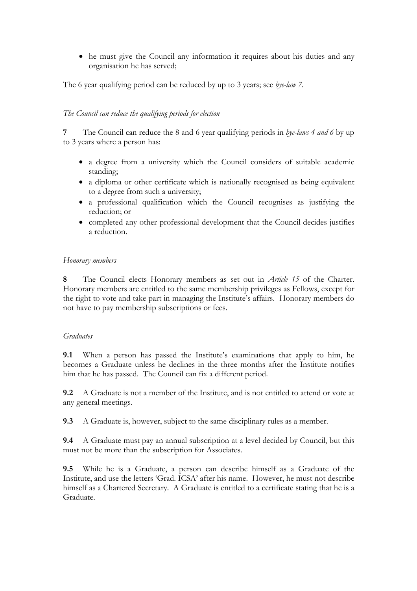• he must give the Council any information it requires about his duties and any organisation he has served;

The 6 year qualifying period can be reduced by up to 3 years; see *bye-law 7*.

#### *The Council can reduce the qualifying periods for election*

**7** The Council can reduce the 8 and 6 year qualifying periods in *bye-laws 4 and 6* by up to 3 years where a person has:

- a degree from a university which the Council considers of suitable academic standing;
- a diploma or other certificate which is nationally recognised as being equivalent to a degree from such a university;
- a professional qualification which the Council recognises as justifying the reduction; or
- completed any other professional development that the Council decides justifies a reduction.

### *Honorary members*

**8** The Council elects Honorary members as set out in *Article 15* of the Charter. Honorary members are entitled to the same membership privileges as Fellows, except for the right to vote and take part in managing the Institute's affairs. Honorary members do not have to pay membership subscriptions or fees.

#### *Graduates*

**9.1** When a person has passed the Institute's examinations that apply to him, he becomes a Graduate unless he declines in the three months after the Institute notifies him that he has passed. The Council can fix a different period.

**9.2** A Graduate is not a member of the Institute, and is not entitled to attend or vote at any general meetings.

**9.3** A Graduate is, however, subject to the same disciplinary rules as a member.

**9.4** • A Graduate must pay an annual subscription at a level decided by Council, but this must not be more than the subscription for Associates.

**9.5** While he is a Graduate, a person can describe himself as a Graduate of the Institute, and use the letters 'Grad. ICSA' after his name. However, he must not describe himself as a Chartered Secretary. A Graduate is entitled to a certificate stating that he is a Graduate.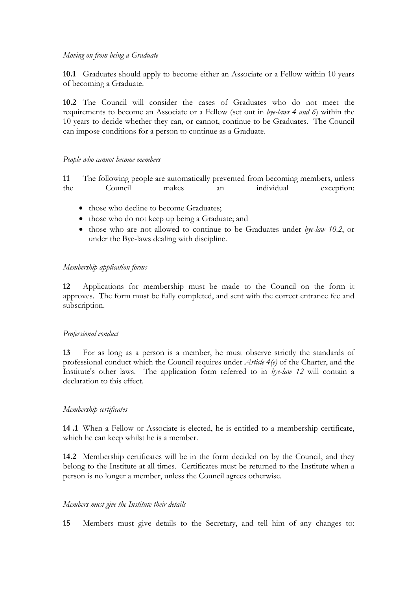#### *Moving on from being a Graduate*

**10.1** Graduates should apply to become either an Associate or a Fellow within 10 years of becoming a Graduate.

**10.2** The Council will consider the cases of Graduates who do not meet the requirements to become an Associate or a Fellow (set out in *bye-laws 4 and 6*) within the 10 years to decide whether they can, or cannot, continue to be Graduates. The Council can impose conditions for a person to continue as a Graduate.

#### *People who cannot become members*

**11** The following people are automatically prevented from becoming members, unless the Council makes an individual exception:

- those who decline to become Graduates;
- those who do not keep up being a Graduate; and
- those who are not allowed to continue to be Graduates under *bye-law 10.2*, or under the Bye-laws dealing with discipline.

#### *Membership application forms*

**12** Applications for membership must be made to the Council on the form it approves. The form must be fully completed, and sent with the correct entrance fee and subscription.

#### *Professional conduct*

**13** For as long as a person is a member, he must observe strictly the standards of professional conduct which the Council requires under *Article 4(e)* of the Charter, and the Institute's other laws. The application form referred to in *bye-law 12* will contain a declaration to this effect.

#### *Membership certificates*

**14 .1** When a Fellow or Associate is elected, he is entitled to a membership certificate, which he can keep whilst he is a member.

**14.2** Membership certificates will be in the form decided on by the Council, and they belong to the Institute at all times. Certificates must be returned to the Institute when a person is no longer a member, unless the Council agrees otherwise.

### *Members must give the Institute their details*

**15** Members must give details to the Secretary, and tell him of any changes to: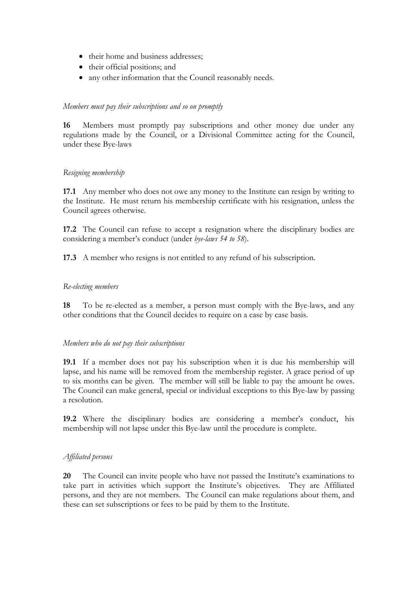- their home and business addresses;
- their official positions; and
- any other information that the Council reasonably needs.

#### *Members must pay their subscriptions and so on promptly*

**16** Members must promptly pay subscriptions and other money due under any regulations made by the Council, or a Divisional Committee acting for the Council, under these Bye-laws

#### *Resigning membership*

**17.1** Any member who does not owe any money to the Institute can resign by writing to the Institute. He must return his membership certificate with his resignation, unless the Council agrees otherwise.

**17.2** The Council can refuse to accept a resignation where the disciplinary bodies are considering a member's conduct (under *bye-laws 54 to 58*).

**17.3** A member who resigns is not entitled to any refund of his subscription.

#### *Re-electing members*

**18** To be re-elected as a member, a person must comply with the Bye-laws, and any other conditions that the Council decides to require on a case by case basis.

#### *Members who do not pay their subscriptions*

**19.1** If a member does not pay his subscription when it is due his membership will lapse, and his name will be removed from the membership register. A grace period of up to six months can be given. The member will still be liable to pay the amount he owes. The Council can make general, special or individual exceptions to this Bye-law by passing a resolution.

**19.2** Where the disciplinary bodies are considering a member's conduct, his membership will not lapse under this Bye-law until the procedure is complete.

#### *Affiliated persons*

**20** The Council can invite people who have not passed the Institute's examinations to take part in activities which support the Institute's objectives. They are Affiliated persons, and they are not members. The Council can make regulations about them, and these can set subscriptions or fees to be paid by them to the Institute.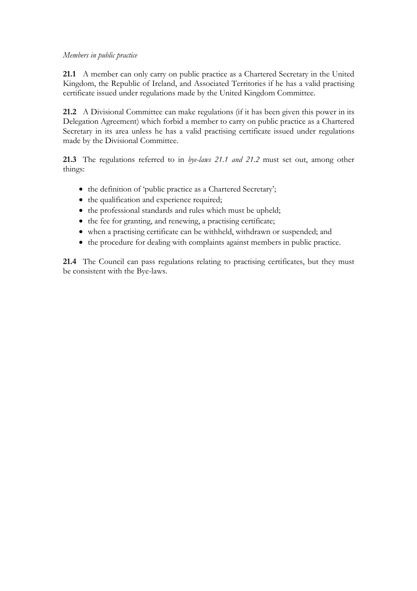#### *Members in public practice*

**21.1** A member can only carry on public practice as a Chartered Secretary in the United Kingdom, the Republic of Ireland, and Associated Territories if he has a valid practising certificate issued under regulations made by the United Kingdom Committee.

**21.2** A Divisional Committee can make regulations (if it has been given this power in its Delegation Agreement) which forbid a member to carry on public practice as a Chartered Secretary in its area unless he has a valid practising certificate issued under regulations made by the Divisional Committee.

**21.3** The regulations referred to in *bye-laws 21.1 and 21.2* must set out, among other things:

- the definition of 'public practice as a Chartered Secretary';
- the qualification and experience required;
- the professional standards and rules which must be upheld;
- the fee for granting, and renewing, a practising certificate;
- when a practising certificate can be withheld, withdrawn or suspended; and
- the procedure for dealing with complaints against members in public practice.

**21.4** The Council can pass regulations relating to practising certificates, but they must be consistent with the Bye-laws.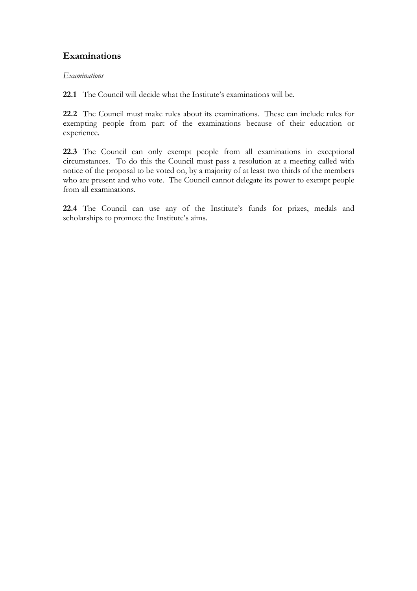## **Examinations**

#### *Examinations*

**22.1** The Council will decide what the Institute's examinations will be.

**22.2** The Council must make rules about its examinations. These can include rules for exempting people from part of the examinations because of their education or experience.

**22.3** The Council can only exempt people from all examinations in exceptional circumstances. To do this the Council must pass a resolution at a meeting called with notice of the proposal to be voted on, by a majority of at least two thirds of the members who are present and who vote. The Council cannot delegate its power to exempt people from all examinations.

**22.4** The Council can use any of the Institute's funds for prizes, medals and scholarships to promote the Institute's aims.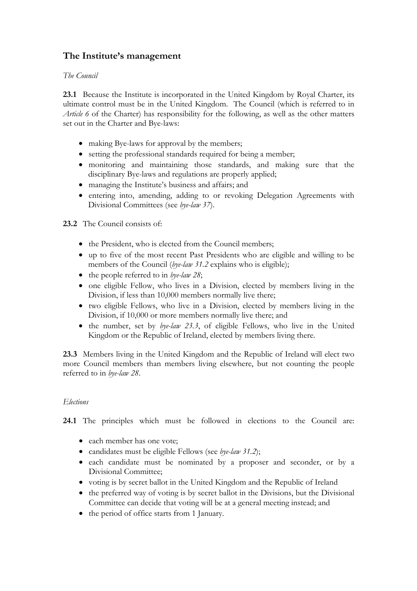# **The Institute's management**

### *The Council*

**23.1** Because the Institute is incorporated in the United Kingdom by Royal Charter, its ultimate control must be in the United Kingdom. The Council (which is referred to in *Article 6* of the Charter) has responsibility for the following, as well as the other matters set out in the Charter and Bye-laws:

- making Bye-laws for approval by the members;
- setting the professional standards required for being a member;
- monitoring and maintaining those standards, and making sure that the disciplinary Bye-laws and regulations are properly applied;
- managing the Institute's business and affairs; and
- entering into, amending, adding to or revoking Delegation Agreements with Divisional Committees (see *bye-law 37*).

### **23.2** The Council consists of:

- the President, who is elected from the Council members;
- up to five of the most recent Past Presidents who are eligible and willing to be members of the Council (*bye-law 31.2* explains who is eligible);
- the people referred to in *bye-law 28*;
- one eligible Fellow, who lives in a Division, elected by members living in the Division, if less than 10,000 members normally live there;
- two eligible Fellows, who live in a Division, elected by members living in the Division, if 10,000 or more members normally live there; and
- the number, set by *bye-law 23.3*, of eligible Fellows, who live in the United Kingdom or the Republic of Ireland, elected by members living there.

**23.3** Members living in the United Kingdom and the Republic of Ireland will elect two more Council members than members living elsewhere, but not counting the people referred to in *bye-law 28*.

#### *Elections*

**24.1** The principles which must be followed in elections to the Council are:

- each member has one vote:
- candidates must be eligible Fellows (see *bye-law 31.2*);
- each candidate must be nominated by a proposer and seconder, or by a Divisional Committee;
- voting is by secret ballot in the United Kingdom and the Republic of Ireland
- the preferred way of voting is by secret ballot in the Divisions, but the Divisional Committee can decide that voting will be at a general meeting instead; and
- the period of office starts from 1 January.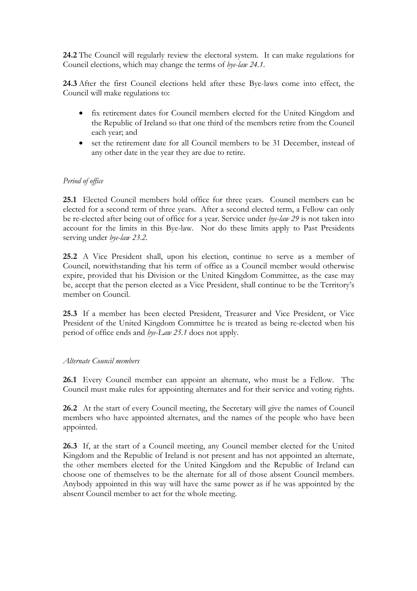**24.2** The Council will regularly review the electoral system. It can make regulations for Council elections, which may change the terms of *bye-law 24.1*.

**24.3** After the first Council elections held after these Bye-laws come into effect, the Council will make regulations to:

- fix retirement dates for Council members elected for the United Kingdom and the Republic of Ireland so that one third of the members retire from the Council each year; and
- set the retirement date for all Council members to be 31 December, instead of any other date in the year they are due to retire.

### *Period of office*

**25.1** Elected Council members hold office for three years. Council members can be elected for a second term of three years. After a second elected term, a Fellow can only be re-elected after being out of office for a year. Service under *bye-law 29* is not taken into account for the limits in this Bye-law. Nor do these limits apply to Past Presidents serving under *bye-law 23.2.* 

**25.2** A Vice President shall, upon his election, continue to serve as a member of Council, notwithstanding that his term of office as a Council member would otherwise expire, provided that his Division or the United Kingdom Committee, as the case may be, accept that the person elected as a Vice President, shall continue to be the Territory's member on Council.

**25.3** If a member has been elected President, Treasurer and Vice President, or Vice President of the United Kingdom Committee he is treated as being re-elected when his period of office ends and *bye-Law 25.1* does not apply.

#### *Alternate Council members*

**26.1** Every Council member can appoint an alternate, who must be a Fellow. The Council must make rules for appointing alternates and for their service and voting rights.

**26.2** At the start of every Council meeting, the Secretary will give the names of Council members who have appointed alternates, and the names of the people who have been appointed.

**26.3** If, at the start of a Council meeting, any Council member elected for the United Kingdom and the Republic of Ireland is not present and has not appointed an alternate, the other members elected for the United Kingdom and the Republic of Ireland can choose one of themselves to be the alternate for all of those absent Council members. Anybody appointed in this way will have the same power as if he was appointed by the absent Council member to act for the whole meeting.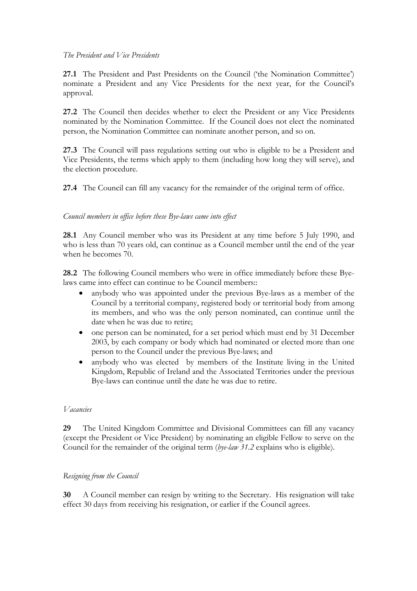#### *The President and Vice Presidents*

**27.1** The President and Past Presidents on the Council ('the Nomination Committee') nominate a President and any Vice Presidents for the next year, for the Council's approval.

27.2 The Council then decides whether to elect the President or any Vice Presidents nominated by the Nomination Committee. If the Council does not elect the nominated person, the Nomination Committee can nominate another person, and so on.

**27.3** The Council will pass regulations setting out who is eligible to be a President and Vice Presidents, the terms which apply to them (including how long they will serve), and the election procedure.

**27.4** The Council can fill any vacancy for the remainder of the original term of office.

#### *Council members in office before these Bye-laws came into effect*

**28.1** Any Council member who was its President at any time before 5 July 1990, and who is less than 70 years old, can continue as a Council member until the end of the year when he becomes 70.

**28.2** The following Council members who were in office immediately before these Byelaws came into effect can continue to be Council members::

- anybody who was appointed under the previous Bye-laws as a member of the Council by a territorial company, registered body or territorial body from among its members, and who was the only person nominated, can continue until the date when he was due to retire;
- one person can be nominated, for a set period which must end by 31 December 2003, by each company or body which had nominated or elected more than one person to the Council under the previous Bye-laws; and
- anybody who was elected by members of the Institute living in the United Kingdom, Republic of Ireland and the Associated Territories under the previous Bye-laws can continue until the date he was due to retire.

#### *Vacancies*

**29** The United Kingdom Committee and Divisional Committees can fill any vacancy (except the President or Vice President) by nominating an eligible Fellow to serve on the Council for the remainder of the original term (*bye-law 31.2* explains who is eligible).

#### *Resigning from the Council*

**30** A Council member can resign by writing to the Secretary. His resignation will take effect 30 days from receiving his resignation, or earlier if the Council agrees.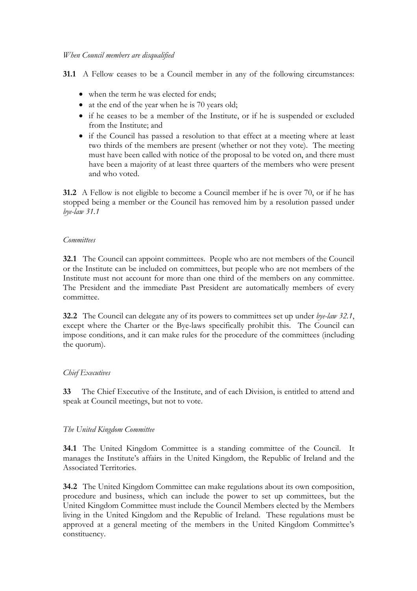**31.1** A Fellow ceases to be a Council member in any of the following circumstances:

- when the term he was elected for ends;
- at the end of the year when he is 70 years old;
- if he ceases to be a member of the Institute, or if he is suspended or excluded from the Institute; and
- if the Council has passed a resolution to that effect at a meeting where at least two thirds of the members are present (whether or not they vote). The meeting must have been called with notice of the proposal to be voted on, and there must have been a majority of at least three quarters of the members who were present and who voted.

**31.2** A Fellow is not eligible to become a Council member if he is over 70, or if he has stopped being a member or the Council has removed him by a resolution passed under *bye-law 31.1*

#### *Committees*

**32.1** The Council can appoint committees. People who are not members of the Council or the Institute can be included on committees, but people who are not members of the Institute must not account for more than one third of the members on any committee. The President and the immediate Past President are automatically members of every committee.

**32.2** The Council can delegate any of its powers to committees set up under *bye-law 32.1*, except where the Charter or the Bye-laws specifically prohibit this. The Council can impose conditions, and it can make rules for the procedure of the committees (including the quorum).

#### *Chief Executives*

**33** The Chief Executive of the Institute, and of each Division, is entitled to attend and speak at Council meetings, but not to vote.

#### *The United Kingdom Committee*

**34.1** The United Kingdom Committee is a standing committee of the Council. It manages the Institute's affairs in the United Kingdom, the Republic of Ireland and the Associated Territories.

**34.2** The United Kingdom Committee can make regulations about its own composition, procedure and business, which can include the power to set up committees, but the United Kingdom Committee must include the Council Members elected by the Members living in the United Kingdom and the Republic of Ireland. These regulations must be approved at a general meeting of the members in the United Kingdom Committee's constituency.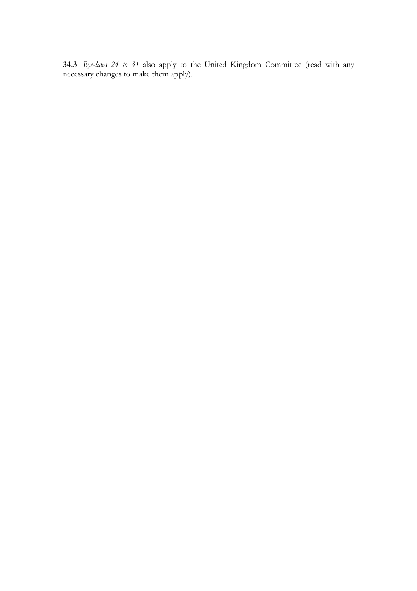**34.3** *Bye-laws 24 to 31* also apply to the United Kingdom Committee (read with any necessary changes to make them apply).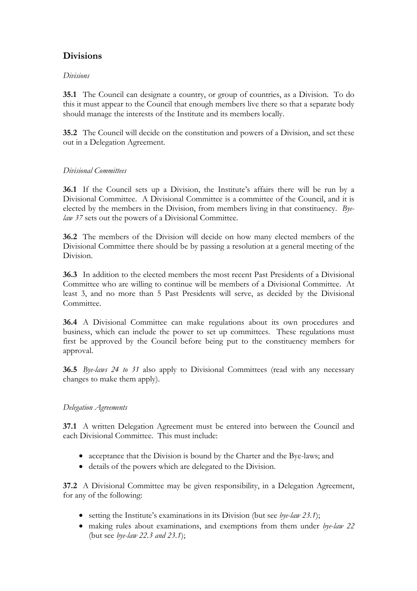# **Divisions**

### *Divisions*

**35.1** The Council can designate a country, or group of countries, as a Division. To do this it must appear to the Council that enough members live there so that a separate body should manage the interests of the Institute and its members locally.

**35.2** The Council will decide on the constitution and powers of a Division, and set these out in a Delegation Agreement.

### *Divisional Committees*

**36.1** If the Council sets up a Division, the Institute's affairs there will be run by a Divisional Committee. A Divisional Committee is a committee of the Council, and it is elected by the members in the Division, from members living in that constituency. *Byelaw 37* sets out the powers of a Divisional Committee.

**36.2** The members of the Division will decide on how many elected members of the Divisional Committee there should be by passing a resolution at a general meeting of the Division.

**36.3** In addition to the elected members the most recent Past Presidents of a Divisional Committee who are willing to continue will be members of a Divisional Committee. At least 3, and no more than 5 Past Presidents will serve, as decided by the Divisional Committee.

**36.4** A Divisional Committee can make regulations about its own procedures and business, which can include the power to set up committees. These regulations must first be approved by the Council before being put to the constituency members for approval.

**36.5** *Bye-laws 24 to 31* also apply to Divisional Committees (read with any necessary changes to make them apply).

### *Delegation Agreements*

**37.1** A written Delegation Agreement must be entered into between the Council and each Divisional Committee. This must include:

- acceptance that the Division is bound by the Charter and the Bye-laws; and
- details of the powers which are delegated to the Division.

**37.2** A Divisional Committee may be given responsibility, in a Delegation Agreement, for any of the following:

- setting the Institute's examinations in its Division (but see *bye-law 23.1*);
- making rules about examinations, and exemptions from them under *bye-law 22* (but see *bye-law 22.3 and 23.1*);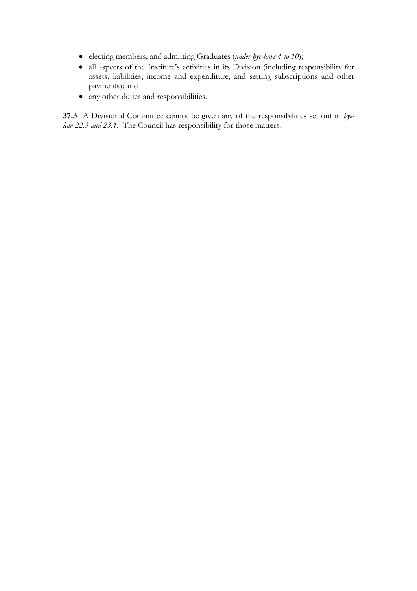- electing members, and admitting Graduates (*under bye-laws 4 to 10*);
- all aspects of the Institute's activities in its Division (including responsibility for assets, liabilities, income and expenditure, and setting subscriptions and other payments); and
- any other duties and responsibilities.

**37.3** A Divisional Committee cannot be given any of the responsibilities set out in *byelaw 22.3 and 23.1*. The Council has responsibility for those matters.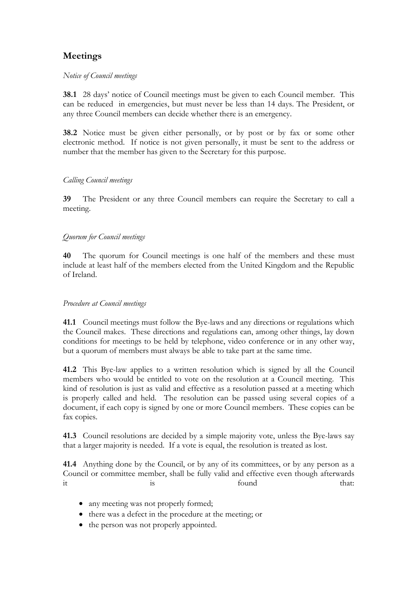# **Meetings**

#### *Notice of Council meetings*

**38.1** 28 days' notice of Council meetings must be given to each Council member. This can be reduced in emergencies, but must never be less than 14 days. The President, or any three Council members can decide whether there is an emergency.

**38.2** Notice must be given either personally, or by post or by fax or some other electronic method. If notice is not given personally, it must be sent to the address or number that the member has given to the Secretary for this purpose.

### *Calling Council meetings*

**39** The President or any three Council members can require the Secretary to call a meeting.

### *Quorum for Council meetings*

**40** The quorum for Council meetings is one half of the members and these must include at least half of the members elected from the United Kingdom and the Republic of Ireland.

#### *Procedure at Council meetings*

**41.1** Council meetings must follow the Bye-laws and any directions or regulations which the Council makes. These directions and regulations can, among other things, lay down conditions for meetings to be held by telephone, video conference or in any other way, but a quorum of members must always be able to take part at the same time.

**41.2** This Bye-law applies to a written resolution which is signed by all the Council members who would be entitled to vote on the resolution at a Council meeting. This kind of resolution is just as valid and effective as a resolution passed at a meeting which is properly called and held. The resolution can be passed using several copies of a document, if each copy is signed by one or more Council members. These copies can be fax copies.

**41.3** Council resolutions are decided by a simple majority vote, unless the Bye-laws say that a larger majority is needed. If a vote is equal, the resolution is treated as lost.

**41.4** Anything done by the Council, or by any of its committees, or by any person as a Council or committee member, shall be fully valid and effective even though afterwards it is that:  $\frac{1}{10}$  is found that:

- any meeting was not properly formed;
- there was a defect in the procedure at the meeting; or
- the person was not properly appointed.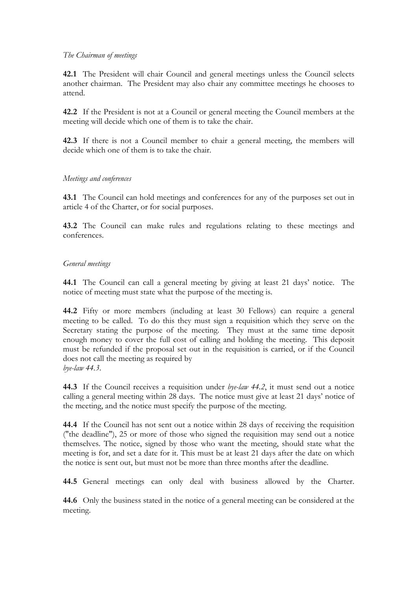#### *The Chairman of meetings*

**42.1** The President will chair Council and general meetings unless the Council selects another chairman. The President may also chair any committee meetings he chooses to attend.

**42.2** If the President is not at a Council or general meeting the Council members at the meeting will decide which one of them is to take the chair.

**42.3** If there is not a Council member to chair a general meeting, the members will decide which one of them is to take the chair.

#### *Meetings and conferences*

**43.1** The Council can hold meetings and conferences for any of the purposes set out in article 4 of the Charter, or for social purposes.

**43.2** The Council can make rules and regulations relating to these meetings and conferences.

#### *General meetings*

**44.1** The Council can call a general meeting by giving at least 21 days' notice. The notice of meeting must state what the purpose of the meeting is.

**44.2** Fifty or more members (including at least 30 Fellows) can require a general meeting to be called. To do this they must sign a requisition which they serve on the Secretary stating the purpose of the meeting. They must at the same time deposit enough money to cover the full cost of calling and holding the meeting. This deposit must be refunded if the proposal set out in the requisition is carried, or if the Council does not call the meeting as required by *bye-law 44.3*.

**44.3** If the Council receives a requisition under *bye-law 44.2*, it must send out a notice calling a general meeting within 28 days. The notice must give at least 21 days' notice of the meeting, and the notice must specify the purpose of the meeting.

**44.4** If the Council has not sent out a notice within 28 days of receiving the requisition ("the deadline"), 25 or more of those who signed the requisition may send out a notice themselves. The notice, signed by those who want the meeting, should state what the meeting is for, and set a date for it. This must be at least 21 days after the date on which the notice is sent out, but must not be more than three months after the deadline.

**44.5** General meetings can only deal with business allowed by the Charter.

**44.6** Only the business stated in the notice of a general meeting can be considered at the meeting.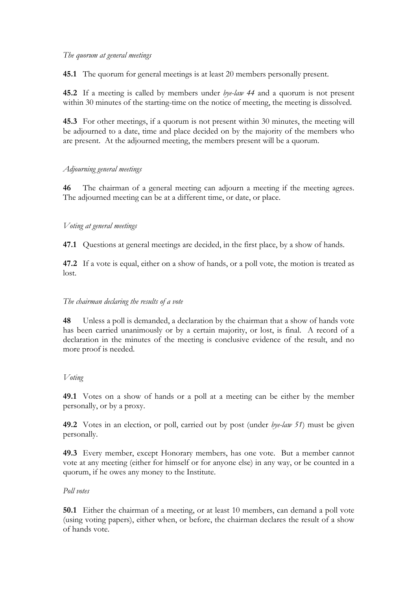#### *The quorum at general meetings*

**45.1** The quorum for general meetings is at least 20 members personally present.

**45.2** If a meeting is called by members under *bye-law 44* and a quorum is not present within 30 minutes of the starting-time on the notice of meeting, the meeting is dissolved.

**45.3** For other meetings, if a quorum is not present within 30 minutes, the meeting will be adjourned to a date, time and place decided on by the majority of the members who are present. At the adjourned meeting, the members present will be a quorum.

### *Adjourning general meetings*

**46** The chairman of a general meeting can adjourn a meeting if the meeting agrees. The adjourned meeting can be at a different time, or date, or place.

### *Voting at general meetings*

**47.1** Questions at general meetings are decided, in the first place, by a show of hands.

**47.2** If a vote is equal, either on a show of hands, or a poll vote, the motion is treated as lost.

### *The chairman declaring the results of a vote*

**48** Unless a poll is demanded, a declaration by the chairman that a show of hands vote has been carried unanimously or by a certain majority, or lost, is final. A record of a declaration in the minutes of the meeting is conclusive evidence of the result, and no more proof is needed.

#### *Voting*

**49.1** Votes on a show of hands or a poll at a meeting can be either by the member personally, or by a proxy.

**49.2** Votes in an election, or poll, carried out by post (under *bye-law 51*) must be given personally.

**49.3** Every member, except Honorary members, has one vote. But a member cannot vote at any meeting (either for himself or for anyone else) in any way, or be counted in a quorum, if he owes any money to the Institute.

#### *Poll votes*

**50.1** Either the chairman of a meeting, or at least 10 members, can demand a poll vote (using voting papers), either when, or before, the chairman declares the result of a show of hands vote.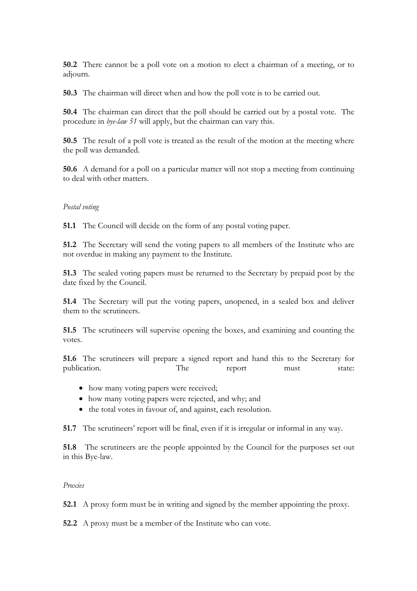**50.2** There cannot be a poll vote on a motion to elect a chairman of a meeting, or to adjourn.

**50.3** The chairman will direct when and how the poll vote is to be carried out.

**50.4** The chairman can direct that the poll should be carried out by a postal vote. The procedure in *bye-law 51* will apply, but the chairman can vary this.

**50.5** The result of a poll vote is treated as the result of the motion at the meeting where the poll was demanded.

**50.6** A demand for a poll on a particular matter will not stop a meeting from continuing to deal with other matters.

#### *Postal voting*

**51.1** The Council will decide on the form of any postal voting paper.

**51.2** The Secretary will send the voting papers to all members of the Institute who are not overdue in making any payment to the Institute.

**51.3** The sealed voting papers must be returned to the Secretary by prepaid post by the date fixed by the Council.

**51.4** The Secretary will put the voting papers, unopened, in a sealed box and deliver them to the scrutineers.

**51.5** The scrutineers will supervise opening the boxes, and examining and counting the votes.

**51.6** The scrutineers will prepare a signed report and hand this to the Secretary for publication. The report must state:

- how many voting papers were received;
- how many voting papers were rejected, and why; and
- the total votes in favour of, and against, each resolution.

**51.7** The scrutineers' report will be final, even if it is irregular or informal in any way.

**51.8** The scrutineers are the people appointed by the Council for the purposes set out in this Bye-law.

#### *Proxies*

**52.1** A proxy form must be in writing and signed by the member appointing the proxy.

**52.2** A proxy must be a member of the Institute who can vote.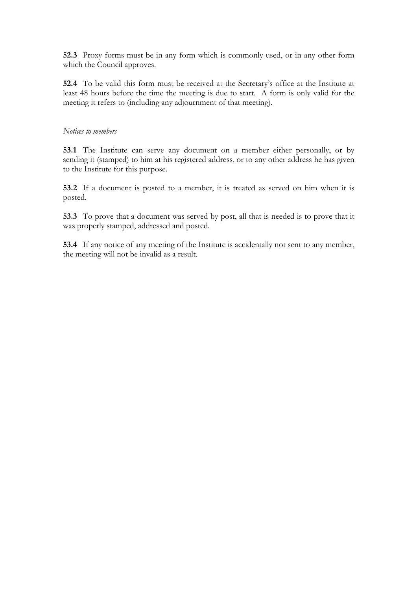**52.3** Proxy forms must be in any form which is commonly used, or in any other form which the Council approves.

**52.4** To be valid this form must be received at the Secretary's office at the Institute at least 48 hours before the time the meeting is due to start. A form is only valid for the meeting it refers to (including any adjournment of that meeting).

#### *Notices to members*

**53.1** The Institute can serve any document on a member either personally, or by sending it (stamped) to him at his registered address, or to any other address he has given to the Institute for this purpose.

**53.2** If a document is posted to a member, it is treated as served on him when it is posted.

**53.3** To prove that a document was served by post, all that is needed is to prove that it was properly stamped, addressed and posted.

**53.4** If any notice of any meeting of the Institute is accidentally not sent to any member, the meeting will not be invalid as a result.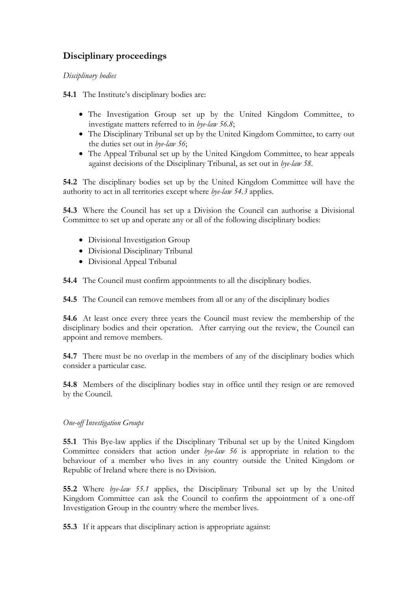# **Disciplinary proceedings**

### *Disciplinary bodies*

**54.1** The Institute's disciplinary bodies are:

- The Investigation Group set up by the United Kingdom Committee, to investigate matters referred to in *bye-law 56.8*;
- The Disciplinary Tribunal set up by the United Kingdom Committee, to carry out the duties set out in *bye-law 56*;
- The Appeal Tribunal set up by the United Kingdom Committee, to hear appeals against decisions of the Disciplinary Tribunal, as set out in *bye-law 58*.

**54.2** The disciplinary bodies set up by the United Kingdom Committee will have the authority to act in all territories except where *bye-law 54.3* applies.

**54.3** Where the Council has set up a Division the Council can authorise a Divisional Committee to set up and operate any or all of the following disciplinary bodies:

- Divisional Investigation Group
- Divisional Disciplinary Tribunal
- Divisional Appeal Tribunal

**54.4** The Council must confirm appointments to all the disciplinary bodies.

**54.5** The Council can remove members from all or any of the disciplinary bodies

**54.6** At least once every three years the Council must review the membership of the disciplinary bodies and their operation. After carrying out the review, the Council can appoint and remove members.

**54.7** There must be no overlap in the members of any of the disciplinary bodies which consider a particular case.

**54.8** Members of the disciplinary bodies stay in office until they resign or are removed by the Council.

#### *One-off Investigation Groups*

**55.1** This Bye-law applies if the Disciplinary Tribunal set up by the United Kingdom Committee considers that action under *bye-law 56* is appropriate in relation to the behaviour of a member who lives in any country outside the United Kingdom or Republic of Ireland where there is no Division.

**55.2** Where *bye-law 55.1* applies, the Disciplinary Tribunal set up by the United Kingdom Committee can ask the Council to confirm the appointment of a one-off Investigation Group in the country where the member lives.

**55.3** If it appears that disciplinary action is appropriate against: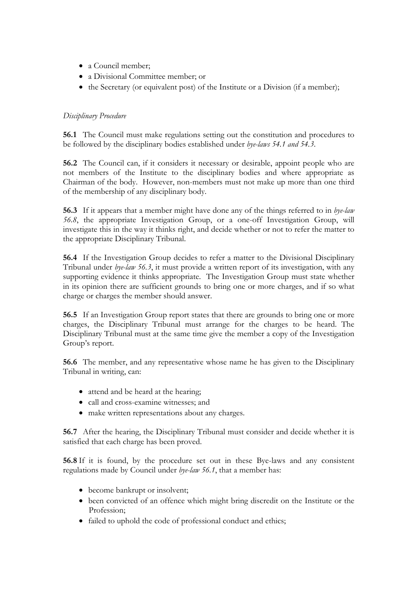- a Council member;
- a Divisional Committee member; or
- the Secretary (or equivalent post) of the Institute or a Division (if a member);

### *Disciplinary Procedure*

**56.1** The Council must make regulations setting out the constitution and procedures to be followed by the disciplinary bodies established under *bye-laws 54.1 and 54.3*.

**56.2** The Council can, if it considers it necessary or desirable, appoint people who are not members of the Institute to the disciplinary bodies and where appropriate as Chairman of the body. However, non-members must not make up more than one third of the membership of any disciplinary body.

**56.3** If it appears that a member might have done any of the things referred to in *bye-law 56.8*, the appropriate Investigation Group, or a one-off Investigation Group, will investigate this in the way it thinks right, and decide whether or not to refer the matter to the appropriate Disciplinary Tribunal.

**56.4** If the Investigation Group decides to refer a matter to the Divisional Disciplinary Tribunal under *bye-law 56.3*, it must provide a written report of its investigation, with any supporting evidence it thinks appropriate. The Investigation Group must state whether in its opinion there are sufficient grounds to bring one or more charges, and if so what charge or charges the member should answer.

**56.5** If an Investigation Group report states that there are grounds to bring one or more charges, the Disciplinary Tribunal must arrange for the charges to be heard. The Disciplinary Tribunal must at the same time give the member a copy of the Investigation Group's report.

**56.6** The member, and any representative whose name he has given to the Disciplinary Tribunal in writing, can:

- attend and be heard at the hearing;
- call and cross-examine witnesses; and
- make written representations about any charges.

**56.7** After the hearing, the Disciplinary Tribunal must consider and decide whether it is satisfied that each charge has been proved.

**56.8** If it is found, by the procedure set out in these Bye-laws and any consistent regulations made by Council under *bye-law 56.1*, that a member has:

- become bankrupt or insolvent;
- been convicted of an offence which might bring discredit on the Institute or the Profession;
- failed to uphold the code of professional conduct and ethics;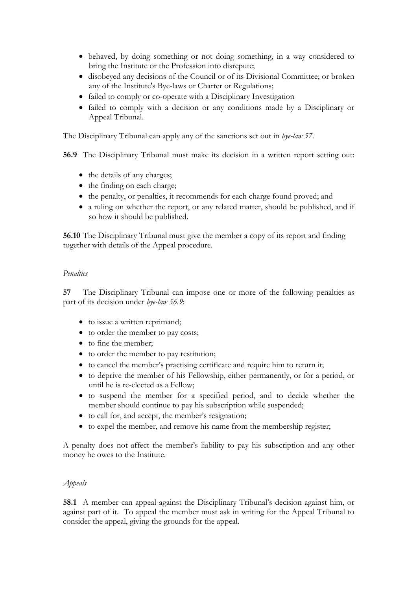- behaved, by doing something or not doing something, in a way considered to bring the Institute or the Profession into disrepute;
- disobeyed any decisions of the Council or of its Divisional Committee; or broken any of the Institute's Bye-laws or Charter or Regulations;
- failed to comply or co-operate with a Disciplinary Investigation
- failed to comply with a decision or any conditions made by a Disciplinary or Appeal Tribunal.

The Disciplinary Tribunal can apply any of the sanctions set out in *bye-law 57*.

**56.9** The Disciplinary Tribunal must make its decision in a written report setting out:

- the details of any charges;
- the finding on each charge;
- the penalty, or penalties, it recommends for each charge found proved; and
- a ruling on whether the report, or any related matter, should be published, and if so how it should be published.

**56.10** The Disciplinary Tribunal must give the member a copy of its report and finding together with details of the Appeal procedure.

#### *Penalties*

**57** The Disciplinary Tribunal can impose one or more of the following penalties as part of its decision under *bye-law 56.9*:

- to issue a written reprimand;
- to order the member to pay costs;
- to fine the member;
- to order the member to pay restitution;
- to cancel the member's practising certificate and require him to return it;
- to deprive the member of his Fellowship, either permanently, or for a period, or until he is re-elected as a Fellow;
- to suspend the member for a specified period, and to decide whether the member should continue to pay his subscription while suspended;
- to call for, and accept, the member's resignation;
- to expel the member, and remove his name from the membership register;

A penalty does not affect the member's liability to pay his subscription and any other money he owes to the Institute.

#### *Appeals*

**58.1** A member can appeal against the Disciplinary Tribunal's decision against him, or against part of it. To appeal the member must ask in writing for the Appeal Tribunal to consider the appeal, giving the grounds for the appeal.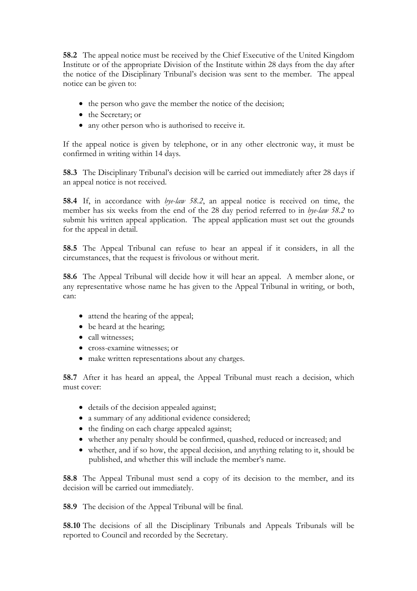**58.2** The appeal notice must be received by the Chief Executive of the United Kingdom Institute or of the appropriate Division of the Institute within 28 days from the day after the notice of the Disciplinary Tribunal's decision was sent to the member. The appeal notice can be given to:

- the person who gave the member the notice of the decision;
- the Secretary; or
- any other person who is authorised to receive it.

If the appeal notice is given by telephone, or in any other electronic way, it must be confirmed in writing within 14 days.

**58.3** The Disciplinary Tribunal's decision will be carried out immediately after 28 days if an appeal notice is not received.

**58.4** If, in accordance with *bye-law 58.2*, an appeal notice is received on time, the member has six weeks from the end of the 28 day period referred to in *bye-law 58.2* to submit his written appeal application. The appeal application must set out the grounds for the appeal in detail.

**58.5** The Appeal Tribunal can refuse to hear an appeal if it considers, in all the circumstances, that the request is frivolous or without merit.

**58.6** The Appeal Tribunal will decide how it will hear an appeal. A member alone, or any representative whose name he has given to the Appeal Tribunal in writing, or both, can:

- attend the hearing of the appeal;
- be heard at the hearing;
- call witnesses:
- cross-examine witnesses; or
- make written representations about any charges.

**58.7** After it has heard an appeal, the Appeal Tribunal must reach a decision, which must cover:

- details of the decision appealed against;
- a summary of any additional evidence considered;
- the finding on each charge appealed against;
- whether any penalty should be confirmed, quashed, reduced or increased; and
- whether, and if so how, the appeal decision, and anything relating to it, should be published, and whether this will include the member's name.

**58.8** The Appeal Tribunal must send a copy of its decision to the member, and its decision will be carried out immediately.

**58.9** The decision of the Appeal Tribunal will be final.

**58.10** The decisions of all the Disciplinary Tribunals and Appeals Tribunals will be reported to Council and recorded by the Secretary.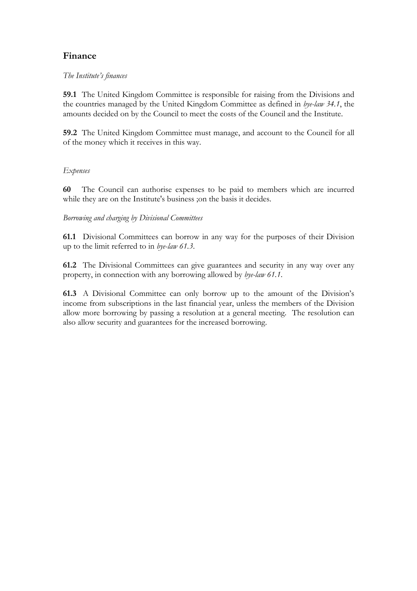## **Finance**

### *The Institute's finances*

**59.1** The United Kingdom Committee is responsible for raising from the Divisions and the countries managed by the United Kingdom Committee as defined in *bye-law 34.1*, the amounts decided on by the Council to meet the costs of the Council and the Institute.

**59.2** The United Kingdom Committee must manage, and account to the Council for all of the money which it receives in this way.

### *Expenses*

**60** The Council can authorise expenses to be paid to members which are incurred while they are on the Institute's business ;on the basis it decides.

### *Borrowing and charging by Divisional Committees*

**61.1** Divisional Committees can borrow in any way for the purposes of their Division up to the limit referred to in *bye-law 61.3*.

**61.2** The Divisional Committees can give guarantees and security in any way over any property, in connection with any borrowing allowed by *bye-law 61.1*.

**61.3** A Divisional Committee can only borrow up to the amount of the Division's income from subscriptions in the last financial year, unless the members of the Division allow more borrowing by passing a resolution at a general meeting. The resolution can also allow security and guarantees for the increased borrowing.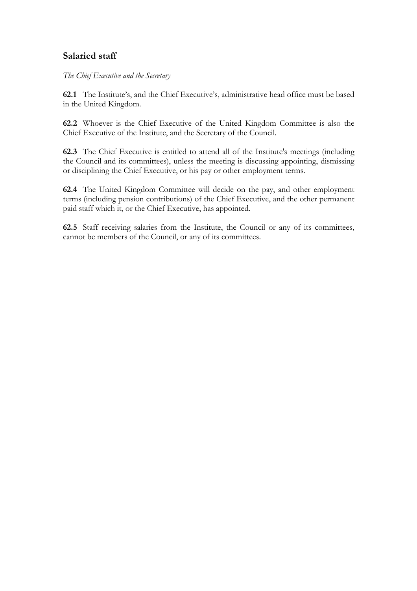## **Salaried staff**

*The Chief Executive and the Secretary* 

**62.1** The Institute's, and the Chief Executive's, administrative head office must be based in the United Kingdom.

**62.2** Whoever is the Chief Executive of the United Kingdom Committee is also the Chief Executive of the Institute, and the Secretary of the Council.

**62.3** The Chief Executive is entitled to attend all of the Institute's meetings (including the Council and its committees), unless the meeting is discussing appointing, dismissing or disciplining the Chief Executive, or his pay or other employment terms.

**62.4** The United Kingdom Committee will decide on the pay, and other employment terms (including pension contributions) of the Chief Executive, and the other permanent paid staff which it, or the Chief Executive, has appointed.

**62.5** Staff receiving salaries from the Institute, the Council or any of its committees, cannot be members of the Council, or any of its committees.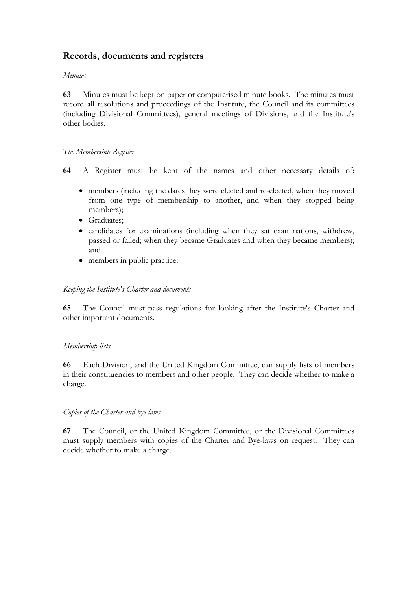## **Records, documents and registers**

#### *Minutes*

**63** Minutes must be kept on paper or computerised minute books. The minutes must record all resolutions and proceedings of the Institute, the Council and its committees (including Divisional Committees), general meetings of Divisions, and the Institute's other bodies.

#### *The Membership Register*

**64** A Register must be kept of the names and other necessary details of:

- members (including the dates they were elected and re-elected, when they moved from one type of membership to another, and when they stopped being members);
- Graduates;
- candidates for examinations (including when they sat examinations, withdrew, passed or failed; when they became Graduates and when they became members); and
- members in public practice.

#### *Keeping the Institute's Charter and documents*

**65** The Council must pass regulations for looking after the Institute's Charter and other important documents.

#### *Membership lists*

**66** Each Division, and the United Kingdom Committee, can supply lists of members in their constituencies to members and other people. They can decide whether to make a charge.

#### *Copies of the Charter and bye-laws*

**67** The Council, or the United Kingdom Committee, or the Divisional Committees must supply members with copies of the Charter and Bye-laws on request. They can decide whether to make a charge.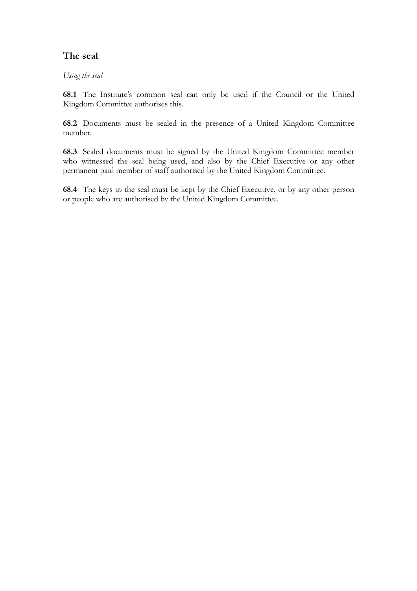## **The seal**

*Using the seal* 

**68.1** The Institute's common seal can only be used if the Council or the United Kingdom Committee authorises this.

**68.2** Documents must be sealed in the presence of a United Kingdom Committee member.

**68.3** Sealed documents must be signed by the United Kingdom Committee member who witnessed the seal being used, and also by the Chief Executive or any other permanent paid member of staff authorised by the United Kingdom Committee.

**68.4** The keys to the seal must be kept by the Chief Executive, or by any other person or people who are authorised by the United Kingdom Committee.